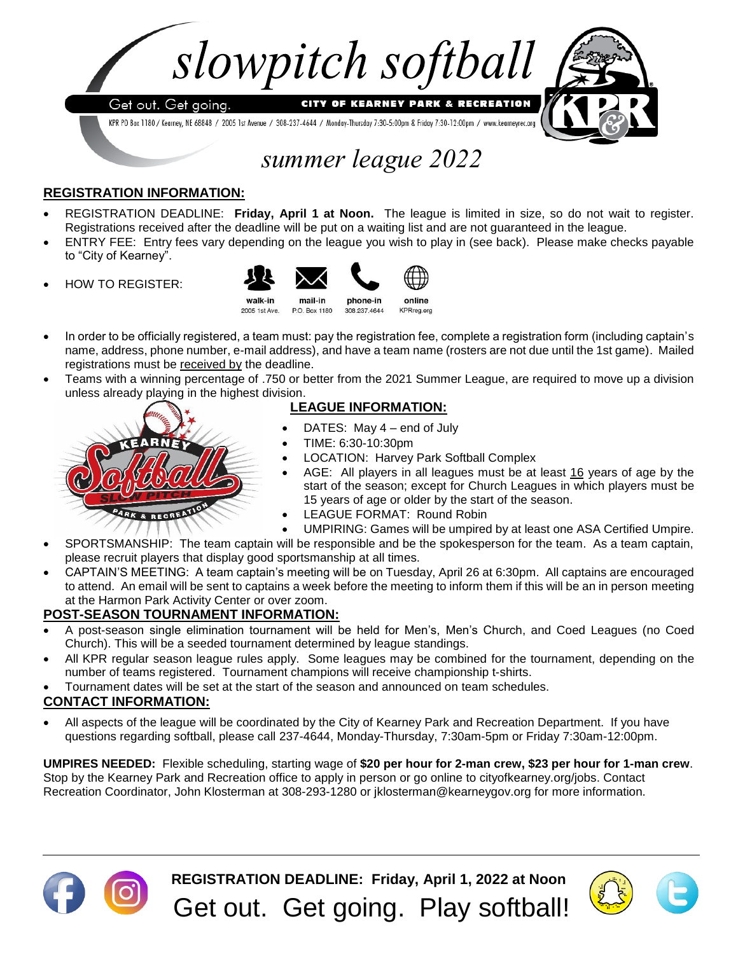

KPR PO Box 1180 / Kearney, NE 68848 / 2005 1st Avenue / 308-237-4644 / Monday-Thursday 7:30-5:00pm & Friday 7:30-12:00pm / www.kearneyrec.org



# *summer league 2022*

## **REGISTRATION INFORMATION:**

- REGISTRATION DEADLINE: **Friday, April 1 at Noon.** The league is limited in size, so do not wait to register. Registrations received after the deadline will be put on a waiting list and are not guaranteed in the league.
- ENTRY FEE: Entry fees vary depending on the league you wish to play in (see back). Please make checks payable to "City of Kearney".
- HOW TO REGISTER:



- In order to be officially registered, a team must: pay the registration fee, complete a registration form (including captain's name, address, phone number, e-mail address), and have a team name (rosters are not due until the 1st game). Mailed registrations must be received by the deadline.
- Teams with a winning percentage of .750 or better from the 2021 Summer League, are required to move up a division unless already playing in the highest division.

### **LEAGUE INFORMATION:**

- DATES: May 4 end of July
- TIME: 6:30-10:30pm
- LOCATION: Harvey Park Softball Complex

online

- AGE: All players in all leagues must be at least 16 years of age by the start of the season; except for Church Leagues in which players must be 15 years of age or older by the start of the season.
- LEAGUE FORMAT: Round Robin
- UMPIRING: Games will be umpired by at least one ASA Certified Umpire.
- SPORTSMANSHIP: The team captain will be responsible and be the spokesperson for the team. As a team captain, please recruit players that display good sportsmanship at all times.
- CAPTAIN'S MEETING: A team captain's meeting will be on Tuesday, April 26 at 6:30pm. All captains are encouraged to attend. An email will be sent to captains a week before the meeting to inform them if this will be an in person meeting at the Harmon Park Activity Center or over zoom.

### **POST-SEASON TOURNAMENT INFORMATION:**

**ARK & RECREAT** 

- A post-season single elimination tournament will be held for Men's, Men's Church, and Coed Leagues (no Coed Church). This will be a seeded tournament determined by league standings.
- All KPR regular season league rules apply. Some leagues may be combined for the tournament, depending on the number of teams registered. Tournament champions will receive championship t-shirts.
- Tournament dates will be set at the start of the season and announced on team schedules.

## **CONTACT INFORMATION:**

• All aspects of the league will be coordinated by the City of Kearney Park and Recreation Department. If you have questions regarding softball, please call 237-4644, Monday-Thursday, 7:30am-5pm or Friday 7:30am-12:00pm.

**UMPIRES NEEDED:** Flexible scheduling, starting wage of **\$20 per hour for 2-man crew, \$23 per hour for 1-man crew**. Stop by the Kearney Park and Recreation office to apply in person or go online to cityofkearney.org/jobs. Contact Recreation Coordinator, John Klosterman at 308-293-1280 or jklosterman@kearneygov.org for more information.



**REGISTRATION DEADLINE: Friday, April 1, 2022 at Noon** Get out. Get going. Play softball!